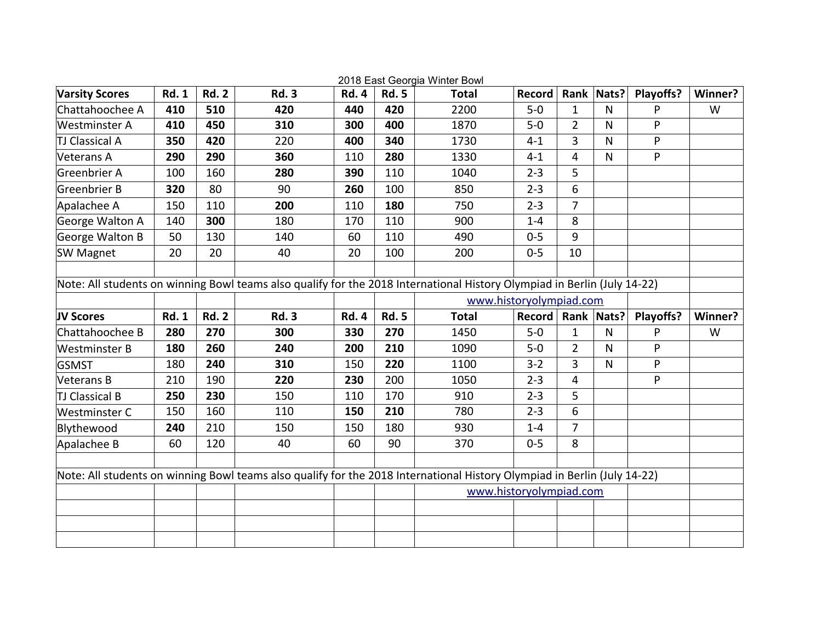|                                                                                                                          |              |              |              |              |              | 2018 East Georgia Winter Bowl |                         |                |              |           |         |
|--------------------------------------------------------------------------------------------------------------------------|--------------|--------------|--------------|--------------|--------------|-------------------------------|-------------------------|----------------|--------------|-----------|---------|
| <b>Varsity Scores</b>                                                                                                    | <b>Rd. 1</b> | <b>Rd. 2</b> | <b>Rd. 3</b> | <b>Rd. 4</b> | <b>Rd. 5</b> | <b>Total</b>                  | Record                  |                | Rank Nats?   | Playoffs? | Winner? |
| Chattahoochee A                                                                                                          | 410          | 510          | 420          | 440          | 420          | 2200                          | $5-0$                   | $\mathbf{1}$   | $\mathsf{N}$ | P         | W       |
| <b>Westminster A</b>                                                                                                     | 410          | 450          | 310          | 300          | 400          | 1870                          | $5 - 0$                 | $\overline{2}$ | $\mathsf{N}$ | P         |         |
| TJ Classical A                                                                                                           | 350          | 420          | 220          | 400          | 340          | 1730                          | $4 - 1$                 | 3              | $\mathsf{N}$ | P         |         |
| <b>Veterans A</b>                                                                                                        | 290          | 290          | 360          | 110          | 280          | 1330                          | $4 - 1$                 | $\overline{4}$ | $\mathsf{N}$ | P         |         |
| Greenbrier A                                                                                                             | 100          | 160          | 280          | 390          | 110          | 1040                          | $2 - 3$                 | 5              |              |           |         |
| Greenbrier B                                                                                                             | 320          | 80           | 90           | 260          | 100          | 850                           | $2 - 3$                 | 6              |              |           |         |
| Apalachee A                                                                                                              | 150          | 110          | 200          | 110          | 180          | 750                           | $2 - 3$                 | $\overline{7}$ |              |           |         |
| George Walton A                                                                                                          | 140          | 300          | 180          | 170          | 110          | 900                           | $1 - 4$                 | 8              |              |           |         |
| George Walton B                                                                                                          | 50           | 130          | 140          | 60           | 110          | 490                           | $0 - 5$                 | 9              |              |           |         |
| SW Magnet                                                                                                                | 20           | 20           | 40           | 20           | 100          | 200                           | $0 - 5$                 | 10             |              |           |         |
|                                                                                                                          |              |              |              |              |              |                               |                         |                |              |           |         |
| Note: All students on winning Bowl teams also qualify for the 2018 International History Olympiad in Berlin (July 14-22) |              |              |              |              |              |                               |                         |                |              |           |         |
|                                                                                                                          |              |              |              |              |              |                               | www.historyolympiad.com |                |              |           |         |
|                                                                                                                          |              |              |              |              |              |                               |                         |                |              |           |         |
| JV Scores                                                                                                                | <b>Rd. 1</b> | <b>Rd. 2</b> | <b>Rd. 3</b> | <b>Rd. 4</b> | <b>Rd. 5</b> | <b>Total</b>                  | Record                  |                | Rank Nats?   | Playoffs? | Winner? |
| Chattahoochee B                                                                                                          | 280          | 270          | 300          | 330          | 270          | 1450                          | $5-0$                   | $\mathbf{1}$   | $\mathsf{N}$ | P         | W       |
| Westminster B                                                                                                            | 180          | 260          | 240          | 200          | 210          | 1090                          | $5 - 0$                 | $\overline{2}$ | $\mathsf{N}$ | P         |         |
| GSMST                                                                                                                    | 180          | 240          | 310          | 150          | 220          | 1100                          | $3 - 2$                 | 3              | ${\sf N}$    | ${\sf P}$ |         |
|                                                                                                                          | 210          | 190          | 220          | 230          | 200          | 1050                          | $2 - 3$                 | $\overline{4}$ |              | P         |         |
|                                                                                                                          | 250          | 230          | 150          | 110          | 170          | 910                           | $2 - 3$                 | 5              |              |           |         |
|                                                                                                                          | 150          | 160          | 110          | 150          | 210          | 780                           | $2 - 3$                 | 6              |              |           |         |
| Veterans B<br>TJ Classical B<br>Westminster C<br>Blythewood                                                              | 240          | 210          | 150          | 150          | 180          | 930                           | $1 - 4$                 | 7              |              |           |         |
|                                                                                                                          | 60           | 120          | 40           | 60           | 90           | 370                           | $0 - 5$                 | 8              |              |           |         |
| Apalachee B                                                                                                              |              |              |              |              |              |                               |                         |                |              |           |         |
| Note: All students on winning Bowl teams also qualify for the 2018 International History Olympiad in Berlin (July 14-22) |              |              |              |              |              |                               |                         |                |              |           |         |
|                                                                                                                          |              |              |              |              |              |                               | www.historyolympiad.com |                |              |           |         |
|                                                                                                                          |              |              |              |              |              |                               |                         |                |              |           |         |
|                                                                                                                          |              |              |              |              |              |                               |                         |                |              |           |         |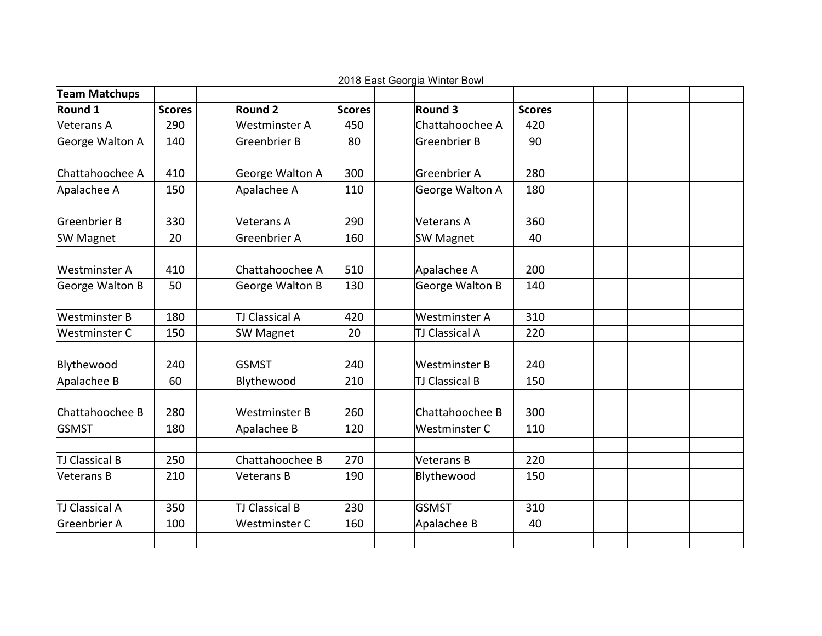| 2018 East Georgia Winter Bowl |               |                       |               |                       |               |  |  |  |
|-------------------------------|---------------|-----------------------|---------------|-----------------------|---------------|--|--|--|
| <b>Team Matchups</b>          |               |                       |               |                       |               |  |  |  |
| Round 1                       | <b>Scores</b> | Round 2               | <b>Scores</b> | Round 3               | <b>Scores</b> |  |  |  |
| Veterans A                    | 290           | Westminster A         | 450           | Chattahoochee A       | 420           |  |  |  |
| George Walton A               | 140           | Greenbrier B          | 80            | Greenbrier B          | 90            |  |  |  |
| Chattahoochee A               | 410           |                       | 300           | Greenbrier A          | 280           |  |  |  |
|                               |               | George Walton A       |               |                       |               |  |  |  |
| Apalachee A                   | 150           | Apalachee A           | 110           | George Walton A       | 180           |  |  |  |
| Greenbrier B                  | 330           | Veterans A            | 290           | Veterans A            | 360           |  |  |  |
| <b>SW Magnet</b>              | 20            | Greenbrier A          | 160           | <b>SW Magnet</b>      | 40            |  |  |  |
|                               |               |                       |               |                       |               |  |  |  |
| Westminster A                 | 410           | Chattahoochee A       | 510           | Apalachee A           | 200           |  |  |  |
| George Walton B               | 50            | George Walton B       | 130           | George Walton B       | 140           |  |  |  |
| <b>Westminster B</b>          | 180           | <b>TJ Classical A</b> | 420           | <b>Westminster A</b>  |               |  |  |  |
|                               |               |                       |               |                       | 310           |  |  |  |
| Westminster C                 | 150           | <b>SW Magnet</b>      | 20            | <b>TJ Classical A</b> | 220           |  |  |  |
| Blythewood                    | 240           | GSMST                 | 240           | <b>Westminster B</b>  | 240           |  |  |  |
| Apalachee B                   | 60            | Blythewood            | 210           | <b>TJ Classical B</b> | 150           |  |  |  |
|                               |               |                       |               |                       |               |  |  |  |
| Chattahoochee B               | 280           | <b>Westminster B</b>  | 260           | Chattahoochee B       | 300           |  |  |  |
| <b>GSMST</b>                  | 180           | Apalachee B           | 120           | <b>Westminster C</b>  | 110           |  |  |  |
| TJ Classical B                | 250           | Chattahoochee B       | 270           | <b>Veterans B</b>     | 220           |  |  |  |
| <b>Veterans B</b>             | 210           | Veterans B            | 190           |                       | 150           |  |  |  |
|                               |               |                       |               | Blythewood            |               |  |  |  |
| TJ Classical A                | 350           | <b>TJ Classical B</b> | 230           | GSMST                 | 310           |  |  |  |
| Greenbrier A                  | 100           | Westminster C         | 160           | Apalachee B           | 40            |  |  |  |
|                               |               |                       |               |                       |               |  |  |  |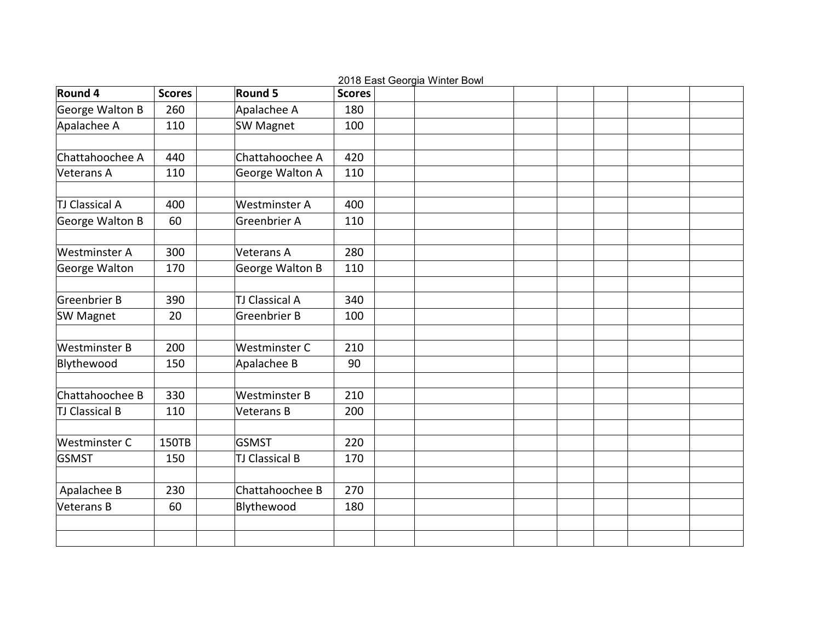| 2018 East Georgia Winter Bowl |               |                       |               |  |  |  |  |  |  |  |
|-------------------------------|---------------|-----------------------|---------------|--|--|--|--|--|--|--|
| Round 4                       | <b>Scores</b> | Round 5               | <b>Scores</b> |  |  |  |  |  |  |  |
| George Walton B               | 260           | Apalachee A           | 180           |  |  |  |  |  |  |  |
| Apalachee A                   | 110           | <b>SW Magnet</b>      | 100           |  |  |  |  |  |  |  |
|                               |               |                       |               |  |  |  |  |  |  |  |
| Chattahoochee A               | 440           | Chattahoochee A       | 420           |  |  |  |  |  |  |  |
| Veterans A                    | 110           | George Walton A       | 110           |  |  |  |  |  |  |  |
|                               |               |                       |               |  |  |  |  |  |  |  |
| TJ Classical A                | 400           | <b>Westminster A</b>  | 400           |  |  |  |  |  |  |  |
| George Walton B               | 60            | Greenbrier A          | 110           |  |  |  |  |  |  |  |
|                               |               |                       |               |  |  |  |  |  |  |  |
| Westminster A                 | 300           | <b>Veterans A</b>     | 280           |  |  |  |  |  |  |  |
| George Walton                 | 170           | George Walton B       | 110           |  |  |  |  |  |  |  |
|                               |               |                       |               |  |  |  |  |  |  |  |
| Greenbrier B                  | 390           | <b>TJ Classical A</b> | 340           |  |  |  |  |  |  |  |
| SW Magnet                     | 20            | Greenbrier B          | 100           |  |  |  |  |  |  |  |
|                               |               |                       |               |  |  |  |  |  |  |  |
| Westminster B                 | 200           | Westminster C         | 210           |  |  |  |  |  |  |  |
| Blythewood                    | 150           | Apalachee B           | 90            |  |  |  |  |  |  |  |
|                               |               |                       |               |  |  |  |  |  |  |  |
| Chattahoochee B               | 330           | <b>Westminster B</b>  | 210           |  |  |  |  |  |  |  |
| TJ Classical B                | 110           | <b>Veterans B</b>     | 200           |  |  |  |  |  |  |  |
|                               |               |                       |               |  |  |  |  |  |  |  |
| Westminster C                 | 150TB         | GSMST                 | 220           |  |  |  |  |  |  |  |
| GSMST                         | 150           | <b>TJ Classical B</b> | 170           |  |  |  |  |  |  |  |
|                               |               |                       |               |  |  |  |  |  |  |  |
| Apalachee B                   | 230           | Chattahoochee B       | 270           |  |  |  |  |  |  |  |
| Veterans B                    | 60            | Blythewood            | 180           |  |  |  |  |  |  |  |
|                               |               |                       |               |  |  |  |  |  |  |  |
|                               |               |                       |               |  |  |  |  |  |  |  |